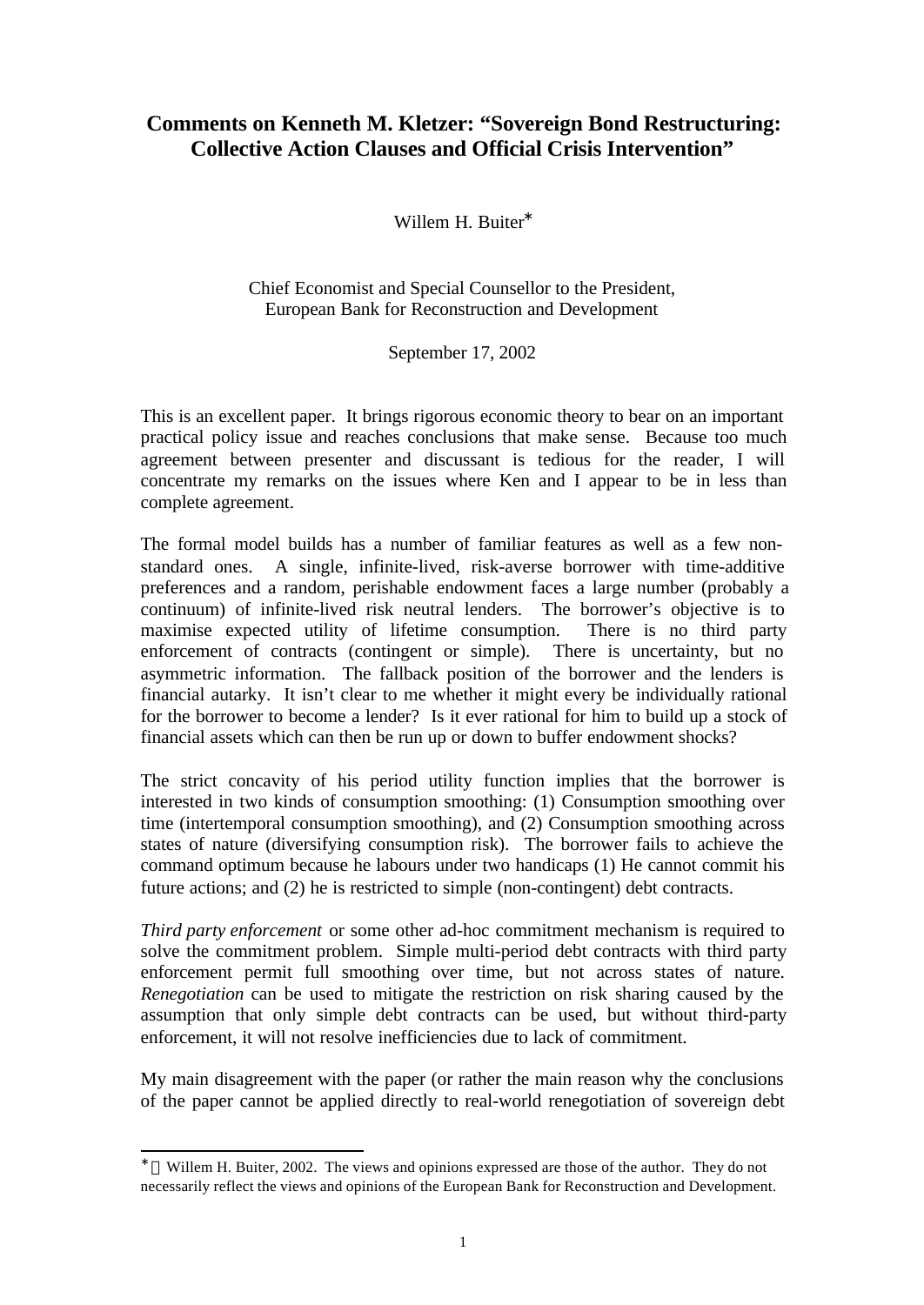## **Comments on Kenneth M. Kletzer: "Sovereign Bond Restructuring: Collective Action Clauses and Official Crisis Intervention"**

Willem H. Buiter<sup>\*</sup>

Chief Economist and Special Counsellor to the President, European Bank for Reconstruction and Development

September 17, 2002

This is an excellent paper. It brings rigorous economic theory to bear on an important practical policy issue and reaches conclusions that make sense. Because too much agreement between presenter and discussant is tedious for the reader, I will concentrate my remarks on the issues where Ken and I appear to be in less than complete agreement.

The formal model builds has a number of familiar features as well as a few nonstandard ones. A single, infinite-lived, risk-averse borrower with time-additive preferences and a random, perishable endowment faces a large number (probably a continuum) of infinite-lived risk neutral lenders. The borrower's objective is to maximise expected utility of lifetime consumption. There is no third party enforcement of contracts (contingent or simple). There is uncertainty, but no asymmetric information. The fallback position of the borrower and the lenders is financial autarky. It isn't clear to me whether it might every be individually rational for the borrower to become a lender? Is it ever rational for him to build up a stock of financial assets which can then be run up or down to buffer endowment shocks?

The strict concavity of his period utility function implies that the borrower is interested in two kinds of consumption smoothing: (1) Consumption smoothing over time (intertemporal consumption smoothing), and (2) Consumption smoothing across states of nature (diversifying consumption risk). The borrower fails to achieve the command optimum because he labours under two handicaps (1) He cannot commit his future actions; and (2) he is restricted to simple (non-contingent) debt contracts.

*Third party enforcement* or some other ad-hoc commitment mechanism is required to solve the commitment problem. Simple multi-period debt contracts with third party enforcement permit full smoothing over time, but not across states of nature. *Renegotiation* can be used to mitigate the restriction on risk sharing caused by the assumption that only simple debt contracts can be used, but without third-party enforcement, it will not resolve inefficiencies due to lack of commitment.

My main disagreement with the paper (or rather the main reason why the conclusions of the paper cannot be applied directly to real-world renegotiation of sovereign debt

l

<sup>∗</sup> Willem H. Buiter, 2002. The views and opinions expressed are those of the author. They do not necessarily reflect the views and opinions of the European Bank for Reconstruction and Development.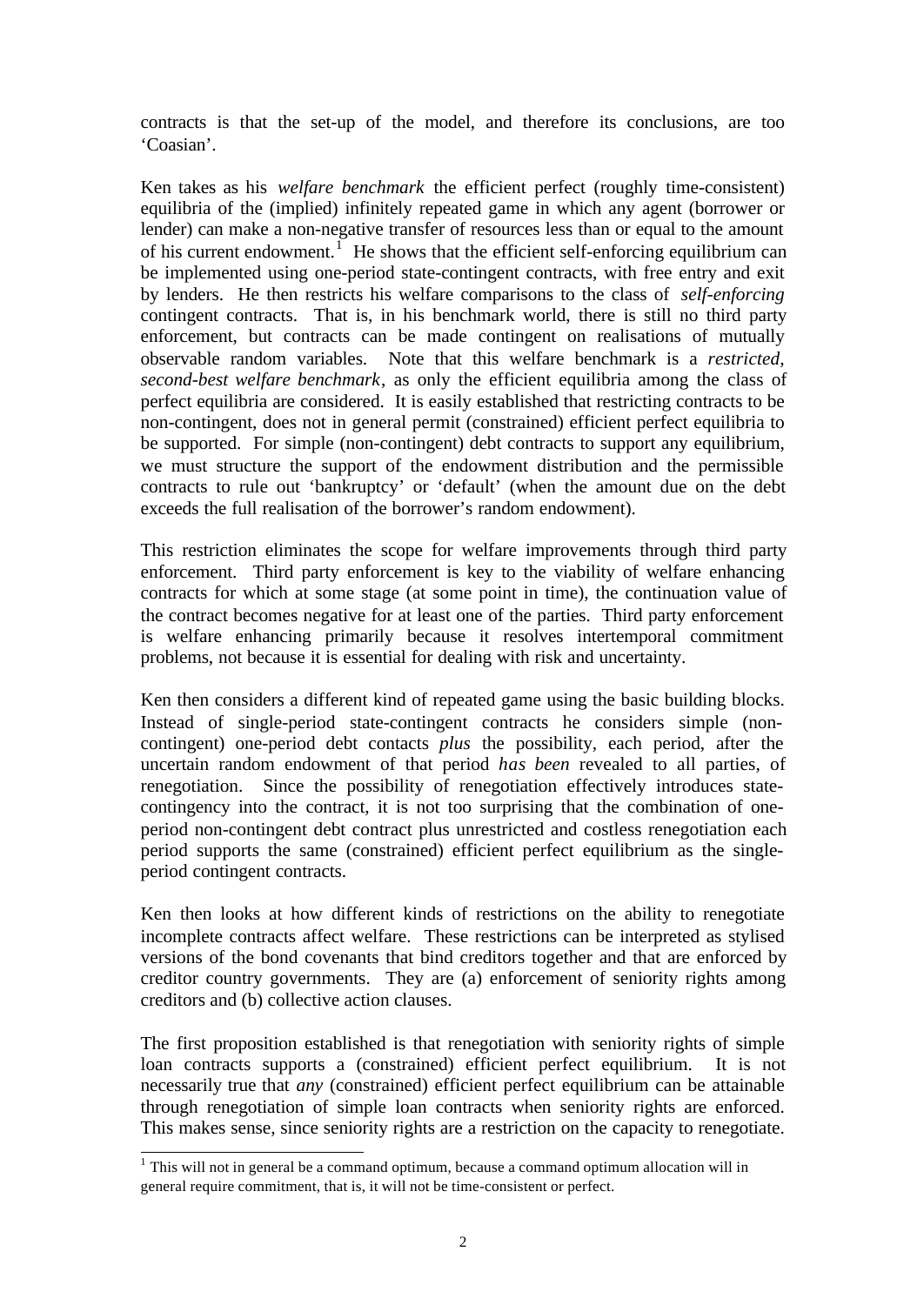contracts is that the set-up of the model, and therefore its conclusions, are too 'Coasian'.

Ken takes as his *welfare benchmark* the efficient perfect (roughly time-consistent) equilibria of the (implied) infinitely repeated game in which any agent (borrower or lender) can make a non-negative transfer of resources less than or equal to the amount of his current endowment.<sup> $1$ </sup> He shows that the efficient self-enforcing equilibrium can be implemented using one-period state-contingent contracts, with free entry and exit by lenders. He then restricts his welfare comparisons to the class of *self-enforcing* contingent contracts. That is, in his benchmark world, there is still no third party enforcement, but contracts can be made contingent on realisations of mutually observable random variables. Note that this welfare benchmark is a *restricted, second-best welfare benchmark*, as only the efficient equilibria among the class of perfect equilibria are considered. It is easily established that restricting contracts to be non-contingent, does not in general permit (constrained) efficient perfect equilibria to be supported. For simple (non-contingent) debt contracts to support any equilibrium, we must structure the support of the endowment distribution and the permissible contracts to rule out 'bankruptcy' or 'default' (when the amount due on the debt exceeds the full realisation of the borrower's random endowment).

This restriction eliminates the scope for welfare improvements through third party enforcement. Third party enforcement is key to the viability of welfare enhancing contracts for which at some stage (at some point in time), the continuation value of the contract becomes negative for at least one of the parties. Third party enforcement is welfare enhancing primarily because it resolves intertemporal commitment problems, not because it is essential for dealing with risk and uncertainty.

Ken then considers a different kind of repeated game using the basic building blocks. Instead of single-period state-contingent contracts he considers simple (noncontingent) one-period debt contacts *plus* the possibility, each period, after the uncertain random endowment of that period *has been* revealed to all parties, of renegotiation. Since the possibility of renegotiation effectively introduces statecontingency into the contract, it is not too surprising that the combination of oneperiod non-contingent debt contract plus unrestricted and costless renegotiation each period supports the same (constrained) efficient perfect equilibrium as the singleperiod contingent contracts.

Ken then looks at how different kinds of restrictions on the ability to renegotiate incomplete contracts affect welfare. These restrictions can be interpreted as stylised versions of the bond covenants that bind creditors together and that are enforced by creditor country governments. They are (a) enforcement of seniority rights among creditors and (b) collective action clauses.

The first proposition established is that renegotiation with seniority rights of simple loan contracts supports a (constrained) efficient perfect equilibrium. It is not necessarily true that *any* (constrained) efficient perfect equilibrium can be attainable through renegotiation of simple loan contracts when seniority rights are enforced. This makes sense, since seniority rights are a restriction on the capacity to renegotiate.

<sup>&</sup>lt;sup>1</sup> This will not in general be a command optimum, because a command optimum allocation will in general require commitment, that is, it will not be time-consistent or perfect.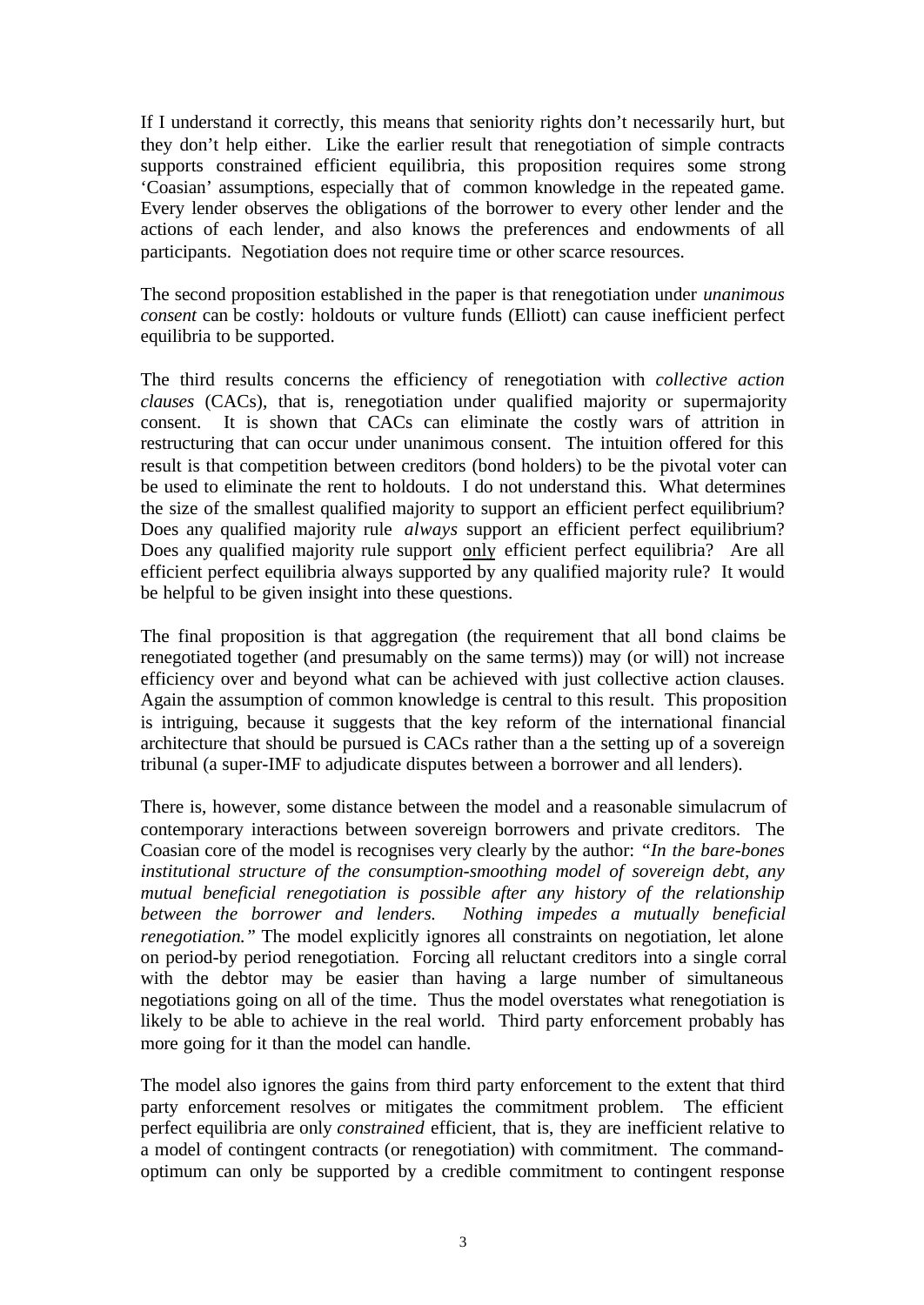If I understand it correctly, this means that seniority rights don't necessarily hurt, but they don't help either. Like the earlier result that renegotiation of simple contracts supports constrained efficient equilibria, this proposition requires some strong 'Coasian' assumptions, especially that of common knowledge in the repeated game. Every lender observes the obligations of the borrower to every other lender and the actions of each lender, and also knows the preferences and endowments of all participants. Negotiation does not require time or other scarce resources.

The second proposition established in the paper is that renegotiation under *unanimous consent* can be costly: holdouts or vulture funds (Elliott) can cause inefficient perfect equilibria to be supported.

The third results concerns the efficiency of renegotiation with *collective action clauses* (CACs), that is, renegotiation under qualified majority or supermajority consent. It is shown that CACs can eliminate the costly wars of attrition in restructuring that can occur under unanimous consent. The intuition offered for this result is that competition between creditors (bond holders) to be the pivotal voter can be used to eliminate the rent to holdouts. I do not understand this. What determines the size of the smallest qualified majority to support an efficient perfect equilibrium? Does any qualified majority rule *always* support an efficient perfect equilibrium? Does any qualified majority rule support only efficient perfect equilibria? Are all efficient perfect equilibria always supported by any qualified majority rule? It would be helpful to be given insight into these questions.

The final proposition is that aggregation (the requirement that all bond claims be renegotiated together (and presumably on the same terms)) may (or will) not increase efficiency over and beyond what can be achieved with just collective action clauses. Again the assumption of common knowledge is central to this result. This proposition is intriguing, because it suggests that the key reform of the international financial architecture that should be pursued is CACs rather than a the setting up of a sovereign tribunal (a super-IMF to adjudicate disputes between a borrower and all lenders).

There is, however, some distance between the model and a reasonable simulacrum of contemporary interactions between sovereign borrowers and private creditors. The Coasian core of the model is recognises very clearly by the author: *"In the bare-bones institutional structure of the consumption-smoothing model of sovereign debt, any mutual beneficial renegotiation is possible after any history of the relationship between the borrower and lenders. Nothing impedes a mutually beneficial renegotiation.*" The model explicitly ignores all constraints on negotiation, let alone on period-by period renegotiation. Forcing all reluctant creditors into a single corral with the debtor may be easier than having a large number of simultaneous negotiations going on all of the time. Thus the model overstates what renegotiation is likely to be able to achieve in the real world. Third party enforcement probably has more going for it than the model can handle.

The model also ignores the gains from third party enforcement to the extent that third party enforcement resolves or mitigates the commitment problem. The efficient perfect equilibria are only *constrained* efficient, that is, they are inefficient relative to a model of contingent contracts (or renegotiation) with commitment. The commandoptimum can only be supported by a credible commitment to contingent response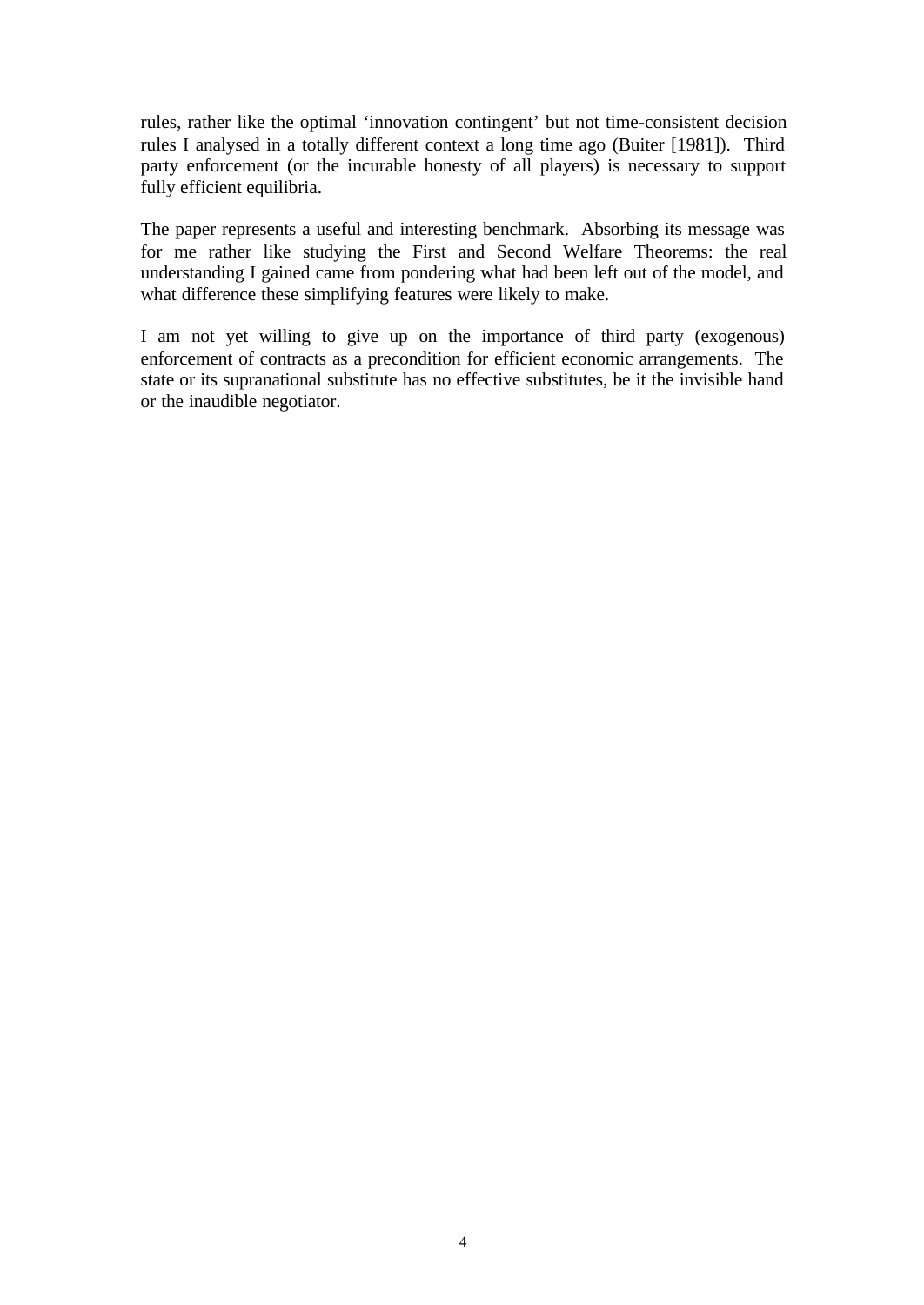rules, rather like the optimal 'innovation contingent' but not time-consistent decision rules I analysed in a totally different context a long time ago (Buiter [1981]). Third party enforcement (or the incurable honesty of all players) is necessary to support fully efficient equilibria.

The paper represents a useful and interesting benchmark. Absorbing its message was for me rather like studying the First and Second Welfare Theorems: the real understanding I gained came from pondering what had been left out of the model, and what difference these simplifying features were likely to make.

I am not yet willing to give up on the importance of third party (exogenous) enforcement of contracts as a precondition for efficient economic arrangements. The state or its supranational substitute has no effective substitutes, be it the invisible hand or the inaudible negotiator.